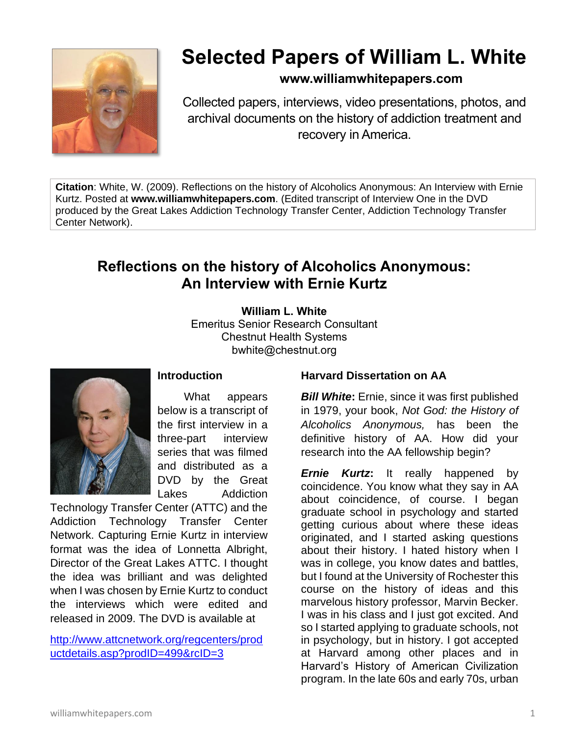

# **Selected Papers of William L. White**

### **www.williamwhitepapers.com**

Collected papers, interviews, video presentations, photos, and archival documents on the history of addiction treatment and recovery in America.

**Citation**: White, W. (2009). Reflections on the history of Alcoholics Anonymous: An Interview with Ernie Kurtz. Posted at **www.williamwhitepapers.com**. (Edited transcript of Interview One in the DVD produced by the Great Lakes Addiction Technology Transfer Center, Addiction Technology Transfer Center Network).

## **Reflections on the history of Alcoholics Anonymous: An Interview with Ernie Kurtz**

#### **William L. White**

Emeritus Senior Research Consultant Chestnut Health Systems bwhite@chestnut.org



What appears below is a transcript of the first interview in a three-part interview series that was filmed and distributed as a DVD by the Great Lakes Addiction

**Introduction**

Technology Transfer Center (ATTC) and the Addiction Technology Transfer Center Network. Capturing Ernie Kurtz in interview format was the idea of Lonnetta Albright, Director of the Great Lakes ATTC. I thought the idea was brilliant and was delighted when I was chosen by Ernie Kurtz to conduct the interviews which were edited and released in 2009. The DVD is available at

[http://www.attcnetwork.org/regcenters/prod](http://www.attcnetwork.org/regcenters/productdetails.asp?prodID=499&rcID=3) [uctdetails.asp?prodID=499&rcID=3](http://www.attcnetwork.org/regcenters/productdetails.asp?prodID=499&rcID=3)

#### **Harvard Dissertation on AA**

*Bill White***:** Ernie, since it was first published in 1979, your book, *Not God: the History of Alcoholics Anonymous,* has been the definitive history of AA. How did your research into the AA fellowship begin?

*Ernie Kurtz***:** It really happened by coincidence. You know what they say in AA about coincidence, of course. I began graduate school in psychology and started getting curious about where these ideas originated, and I started asking questions about their history. I hated history when I was in college, you know dates and battles, but I found at the University of Rochester this course on the history of ideas and this marvelous history professor, Marvin Becker. I was in his class and I just got excited. And so I started applying to graduate schools, not in psychology, but in history. I got accepted at Harvard among other places and in Harvard's History of American Civilization program. In the late 60s and early 70s, urban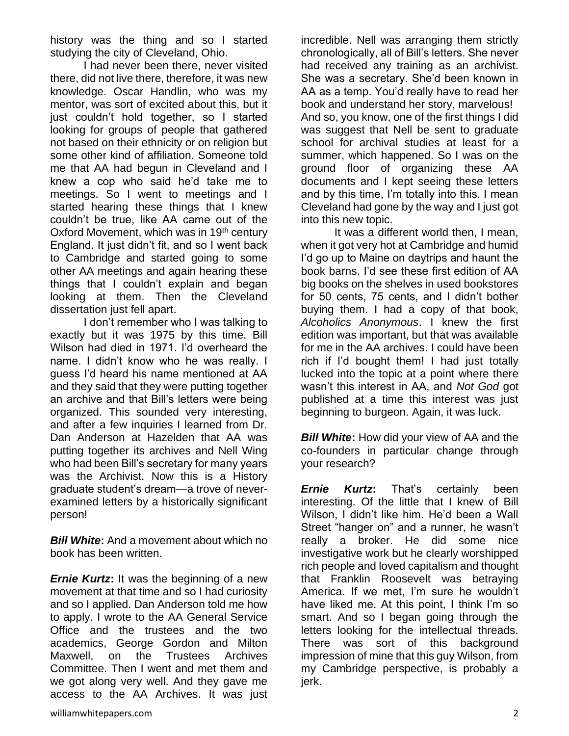history was the thing and so I started studying the city of Cleveland, Ohio.

I had never been there, never visited there, did not live there, therefore, it was new knowledge. Oscar Handlin, who was my mentor, was sort of excited about this, but it just couldn't hold together, so I started looking for groups of people that gathered not based on their ethnicity or on religion but some other kind of affiliation. Someone told me that AA had begun in Cleveland and I knew a cop who said he'd take me to meetings. So I went to meetings and I started hearing these things that I knew couldn't be true, like AA came out of the Oxford Movement, which was in 19<sup>th</sup> century England. It just didn't fit, and so I went back to Cambridge and started going to some other AA meetings and again hearing these things that I couldn't explain and began looking at them. Then the Cleveland dissertation just fell apart.

I don't remember who I was talking to exactly but it was 1975 by this time. Bill Wilson had died in 1971. I'd overheard the name. I didn't know who he was really. I guess I'd heard his name mentioned at AA and they said that they were putting together an archive and that Bill's letters were being organized. This sounded very interesting, and after a few inquiries I learned from Dr. Dan Anderson at Hazelden that AA was putting together its archives and Nell Wing who had been Bill's secretary for many years was the Archivist. Now this is a History graduate student's dream—a trove of neverexamined letters by a historically significant person!

*Bill White***:** And a movement about which no book has been written.

*Ernie Kurtz***:** It was the beginning of a new movement at that time and so I had curiosity and so I applied. Dan Anderson told me how to apply. I wrote to the AA General Service Office and the trustees and the two academics, George Gordon and Milton Maxwell, on the Trustees Archives Committee. Then I went and met them and we got along very well. And they gave me access to the AA Archives. It was just incredible. Nell was arranging them strictly chronologically, all of Bill's letters. She never had received any training as an archivist. She was a secretary. She'd been known in AA as a temp. You'd really have to read her book and understand her story, marvelous! And so, you know, one of the first things I did was suggest that Nell be sent to graduate school for archival studies at least for a summer, which happened. So I was on the ground floor of organizing these AA documents and I kept seeing these letters and by this time, I'm totally into this. I mean Cleveland had gone by the way and I just got into this new topic.

It was a different world then, I mean, when it got very hot at Cambridge and humid I'd go up to Maine on daytrips and haunt the book barns. I'd see these first edition of AA big books on the shelves in used bookstores for 50 cents, 75 cents, and I didn't bother buying them. I had a copy of that book, *Alcoholics Anonymous*. I knew the first edition was important, but that was available for me in the AA archives. I could have been rich if I'd bought them! I had just totally lucked into the topic at a point where there wasn't this interest in AA, and *Not God* got published at a time this interest was just beginning to burgeon. Again, it was luck.

*Bill White***:** How did your view of AA and the co-founders in particular change through your research?

*Ernie Kurtz***:** That's certainly been interesting. Of the little that I knew of Bill Wilson, I didn't like him. He'd been a Wall Street "hanger on" and a runner, he wasn't really a broker. He did some nice investigative work but he clearly worshipped rich people and loved capitalism and thought that Franklin Roosevelt was betraying America. If we met, I'm sure he wouldn't have liked me. At this point, I think I'm so smart. And so I began going through the letters looking for the intellectual threads. There was sort of this background impression of mine that this guy Wilson, from my Cambridge perspective, is probably a jerk.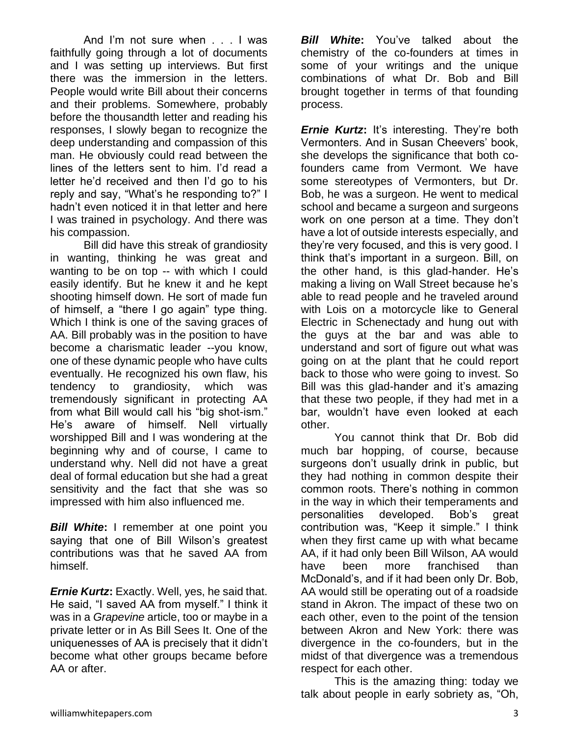And I'm not sure when . . . I was faithfully going through a lot of documents and I was setting up interviews. But first there was the immersion in the letters. People would write Bill about their concerns and their problems. Somewhere, probably before the thousandth letter and reading his responses, I slowly began to recognize the deep understanding and compassion of this man. He obviously could read between the lines of the letters sent to him. I'd read a letter he'd received and then I'd go to his reply and say, "What's he responding to?" I hadn't even noticed it in that letter and here I was trained in psychology. And there was his compassion.

Bill did have this streak of grandiosity in wanting, thinking he was great and wanting to be on top -- with which I could easily identify. But he knew it and he kept shooting himself down. He sort of made fun of himself, a "there I go again" type thing. Which I think is one of the saving graces of AA. Bill probably was in the position to have become a charismatic leader --you know, one of these dynamic people who have cults eventually. He recognized his own flaw, his tendency to grandiosity, which was tremendously significant in protecting AA from what Bill would call his "big shot-ism." He's aware of himself. Nell virtually worshipped Bill and I was wondering at the beginning why and of course, I came to understand why. Nell did not have a great deal of formal education but she had a great sensitivity and the fact that she was so impressed with him also influenced me.

*Bill White***:** I remember at one point you saying that one of Bill Wilson's greatest contributions was that he saved AA from himself.

*Ernie Kurtz***:** Exactly. Well, yes, he said that. He said, "I saved AA from myself." I think it was in a *Grapevine* article, too or maybe in a private letter or in As Bill Sees It. One of the uniquenesses of AA is precisely that it didn't become what other groups became before AA or after.

*Bill White***:** You've talked about the chemistry of the co-founders at times in some of your writings and the unique combinations of what Dr. Bob and Bill brought together in terms of that founding process.

*Ernie Kurtz***:** It's interesting. They're both Vermonters. And in Susan Cheevers' book, she develops the significance that both cofounders came from Vermont. We have some stereotypes of Vermonters, but Dr. Bob, he was a surgeon. He went to medical school and became a surgeon and surgeons work on one person at a time. They don't have a lot of outside interests especially, and they're very focused, and this is very good. I think that's important in a surgeon. Bill, on the other hand, is this glad-hander. He's making a living on Wall Street because he's able to read people and he traveled around with Lois on a motorcycle like to General Electric in Schenectady and hung out with the guys at the bar and was able to understand and sort of figure out what was going on at the plant that he could report back to those who were going to invest. So Bill was this glad-hander and it's amazing that these two people, if they had met in a bar, wouldn't have even looked at each other.

You cannot think that Dr. Bob did much bar hopping, of course, because surgeons don't usually drink in public, but they had nothing in common despite their common roots. There's nothing in common in the way in which their temperaments and personalities developed. Bob's great contribution was, "Keep it simple." I think when they first came up with what became AA, if it had only been Bill Wilson, AA would have been more franchised than McDonald's, and if it had been only Dr. Bob, AA would still be operating out of a roadside stand in Akron. The impact of these two on each other, even to the point of the tension between Akron and New York: there was divergence in the co-founders, but in the midst of that divergence was a tremendous respect for each other.

This is the amazing thing: today we talk about people in early sobriety as, "Oh,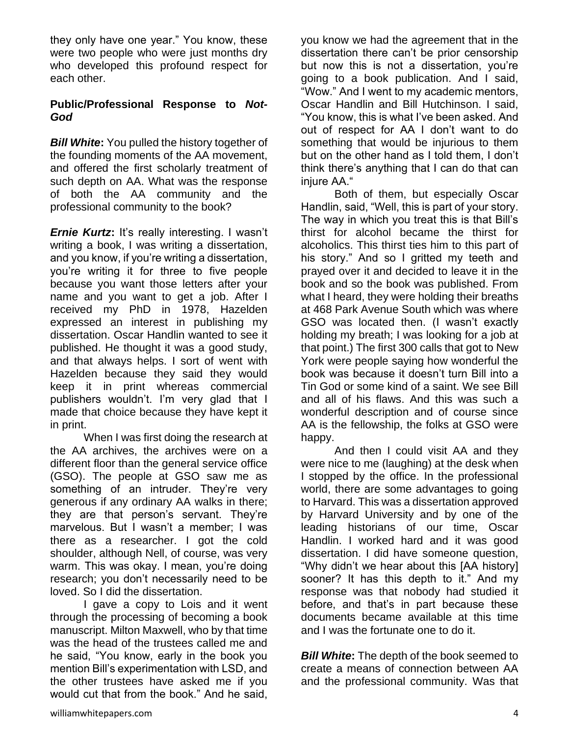they only have one year." You know, these were two people who were just months dry who developed this profound respect for each other.

#### **Public/Professional Response to** *Not-God*

*Bill White***:** You pulled the history together of the founding moments of the AA movement, and offered the first scholarly treatment of such depth on AA. What was the response of both the AA community and the professional community to the book?

*Ernie Kurtz***:** It's really interesting. I wasn't writing a book, I was writing a dissertation, and you know, if you're writing a dissertation, you're writing it for three to five people because you want those letters after your name and you want to get a job. After I received my PhD in 1978, Hazelden expressed an interest in publishing my dissertation. Oscar Handlin wanted to see it published. He thought it was a good study, and that always helps. I sort of went with Hazelden because they said they would keep it in print whereas commercial publishers wouldn't. I'm very glad that I made that choice because they have kept it in print.

When I was first doing the research at the AA archives, the archives were on a different floor than the general service office (GSO). The people at GSO saw me as something of an intruder. They're very generous if any ordinary AA walks in there; they are that person's servant. They're marvelous. But I wasn't a member; I was there as a researcher. I got the cold shoulder, although Nell, of course, was very warm. This was okay. I mean, you're doing research; you don't necessarily need to be loved. So I did the dissertation.

I gave a copy to Lois and it went through the processing of becoming a book manuscript. Milton Maxwell, who by that time was the head of the trustees called me and he said, "You know, early in the book you mention Bill's experimentation with LSD, and the other trustees have asked me if you would cut that from the book." And he said,

you know we had the agreement that in the dissertation there can't be prior censorship but now this is not a dissertation, you're going to a book publication. And I said, "Wow." And I went to my academic mentors, Oscar Handlin and Bill Hutchinson. I said, "You know, this is what I've been asked. And out of respect for AA I don't want to do something that would be injurious to them but on the other hand as I told them, I don't think there's anything that I can do that can injure AA."

Both of them, but especially Oscar Handlin, said, "Well, this is part of your story. The way in which you treat this is that Bill's thirst for alcohol became the thirst for alcoholics. This thirst ties him to this part of his story." And so I gritted my teeth and prayed over it and decided to leave it in the book and so the book was published. From what I heard, they were holding their breaths at 468 Park Avenue South which was where GSO was located then. (I wasn't exactly holding my breath; I was looking for a job at that point.) The first 300 calls that got to New York were people saying how wonderful the book was because it doesn't turn Bill into a Tin God or some kind of a saint. We see Bill and all of his flaws. And this was such a wonderful description and of course since AA is the fellowship, the folks at GSO were happy.

And then I could visit AA and they were nice to me (laughing) at the desk when I stopped by the office. In the professional world, there are some advantages to going to Harvard. This was a dissertation approved by Harvard University and by one of the leading historians of our time, Oscar Handlin. I worked hard and it was good dissertation. I did have someone question, "Why didn't we hear about this [AA history] sooner? It has this depth to it." And my response was that nobody had studied it before, and that's in part because these documents became available at this time and I was the fortunate one to do it.

*Bill White***:** The depth of the book seemed to create a means of connection between AA and the professional community. Was that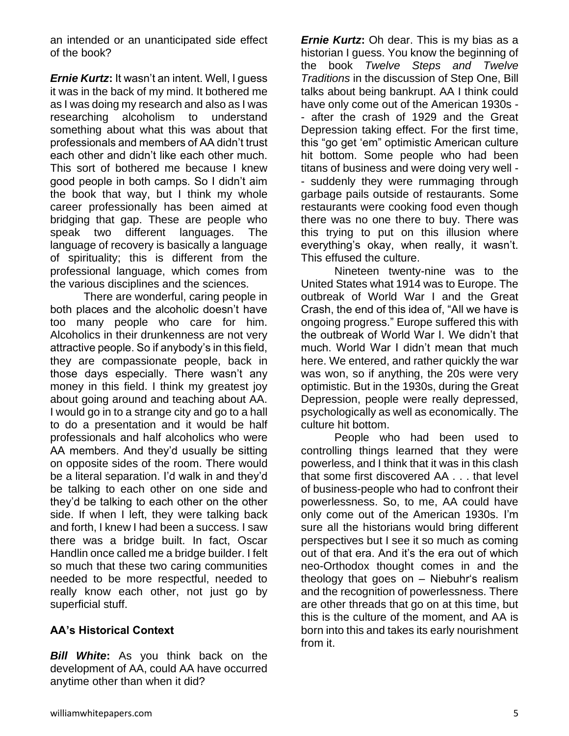an intended or an unanticipated side effect of the book?

*Ernie Kurtz***:** It wasn't an intent. Well, I guess it was in the back of my mind. It bothered me as I was doing my research and also as I was researching alcoholism to understand something about what this was about that professionals and members of AA didn't trust each other and didn't like each other much. This sort of bothered me because I knew good people in both camps. So I didn't aim the book that way, but I think my whole career professionally has been aimed at bridging that gap. These are people who speak two different languages. The language of recovery is basically a language of spirituality; this is different from the professional language, which comes from the various disciplines and the sciences.

There are wonderful, caring people in both places and the alcoholic doesn't have too many people who care for him. Alcoholics in their drunkenness are not very attractive people. So if anybody's in this field, they are compassionate people, back in those days especially. There wasn't any money in this field. I think my greatest joy about going around and teaching about AA. I would go in to a strange city and go to a hall to do a presentation and it would be half professionals and half alcoholics who were AA members. And they'd usually be sitting on opposite sides of the room. There would be a literal separation. I'd walk in and they'd be talking to each other on one side and they'd be talking to each other on the other side. If when I left, they were talking back and forth, I knew I had been a success. I saw there was a bridge built. In fact, Oscar Handlin once called me a bridge builder. I felt so much that these two caring communities needed to be more respectful, needed to really know each other, not just go by superficial stuff.

#### **AA's Historical Context**

*Bill White***:** As you think back on the development of AA, could AA have occurred anytime other than when it did?

*Ernie Kurtz***:** Oh dear. This is my bias as a historian I guess. You know the beginning of the book *Twelve Steps and Twelve Traditions* in the discussion of Step One, Bill talks about being bankrupt. AA I think could have only come out of the American 1930s - - after the crash of 1929 and the Great Depression taking effect. For the first time, this "go get 'em" optimistic American culture hit bottom. Some people who had been titans of business and were doing very well - - suddenly they were rummaging through garbage pails outside of restaurants. Some restaurants were cooking food even though there was no one there to buy. There was this trying to put on this illusion where everything's okay, when really, it wasn't. This effused the culture.

Nineteen twenty-nine was to the United States what 1914 was to Europe. The outbreak of World War I and the Great Crash, the end of this idea of, "All we have is ongoing progress." Europe suffered this with the outbreak of World War I. We didn't that much. World War I didn't mean that much here. We entered, and rather quickly the war was won, so if anything, the 20s were very optimistic. But in the 1930s, during the Great Depression, people were really depressed, psychologically as well as economically. The culture hit bottom.

People who had been used to controlling things learned that they were powerless, and I think that it was in this clash that some first discovered AA . . . that level of business-people who had to confront their powerlessness. So, to me, AA could have only come out of the American 1930s. I'm sure all the historians would bring different perspectives but I see it so much as coming out of that era. And it's the era out of which neo-Orthodox thought comes in and the theology that goes on – Niebuhr's realism and the recognition of powerlessness. There are other threads that go on at this time, but this is the culture of the moment, and AA is born into this and takes its early nourishment from it.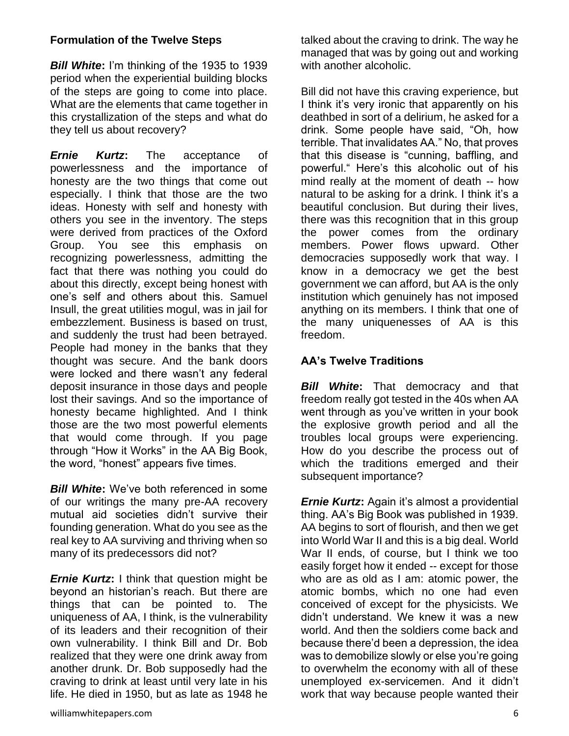#### **Formulation of the Twelve Steps**

*Bill White***:** I'm thinking of the 1935 to 1939 period when the experiential building blocks of the steps are going to come into place. What are the elements that came together in this crystallization of the steps and what do they tell us about recovery?

*Ernie Kurtz***:** The acceptance of powerlessness and the importance of honesty are the two things that come out especially. I think that those are the two ideas. Honesty with self and honesty with others you see in the inventory. The steps were derived from practices of the Oxford Group. You see this emphasis on recognizing powerlessness, admitting the fact that there was nothing you could do about this directly, except being honest with one's self and others about this. Samuel Insull, the great utilities mogul, was in jail for embezzlement. Business is based on trust, and suddenly the trust had been betrayed. People had money in the banks that they thought was secure. And the bank doors were locked and there wasn't any federal deposit insurance in those days and people lost their savings. And so the importance of honesty became highlighted. And I think those are the two most powerful elements that would come through. If you page through "How it Works" in the AA Big Book, the word, "honest" appears five times.

*Bill White***:** We've both referenced in some of our writings the many pre-AA recovery mutual aid societies didn't survive their founding generation. What do you see as the real key to AA surviving and thriving when so many of its predecessors did not?

*Ernie Kurtz***:** I think that question might be beyond an historian's reach. But there are things that can be pointed to. The uniqueness of AA, I think, is the vulnerability of its leaders and their recognition of their own vulnerability. I think Bill and Dr. Bob realized that they were one drink away from another drunk. Dr. Bob supposedly had the craving to drink at least until very late in his life. He died in 1950, but as late as 1948 he

talked about the craving to drink. The way he managed that was by going out and working with another alcoholic.

Bill did not have this craving experience, but I think it's very ironic that apparently on his deathbed in sort of a delirium, he asked for a drink. Some people have said, "Oh, how terrible. That invalidates AA." No, that proves that this disease is "cunning, baffling, and powerful." Here's this alcoholic out of his mind really at the moment of death -- how natural to be asking for a drink. I think it's a beautiful conclusion. But during their lives, there was this recognition that in this group the power comes from the ordinary members. Power flows upward. Other democracies supposedly work that way. I know in a democracy we get the best government we can afford, but AA is the only institution which genuinely has not imposed anything on its members. I think that one of the many uniquenesses of AA is this freedom.

#### **AA's Twelve Traditions**

*Bill White***:** That democracy and that freedom really got tested in the 40s when AA went through as you've written in your book the explosive growth period and all the troubles local groups were experiencing. How do you describe the process out of which the traditions emerged and their subsequent importance?

*Ernie Kurtz:* Again it's almost a providential thing. AA's Big Book was published in 1939. AA begins to sort of flourish, and then we get into World War II and this is a big deal. World War II ends, of course, but I think we too easily forget how it ended -- except for those who are as old as I am: atomic power, the atomic bombs, which no one had even conceived of except for the physicists. We didn't understand. We knew it was a new world. And then the soldiers come back and because there'd been a depression, the idea was to demobilize slowly or else you're going to overwhelm the economy with all of these unemployed ex-servicemen. And it didn't work that way because people wanted their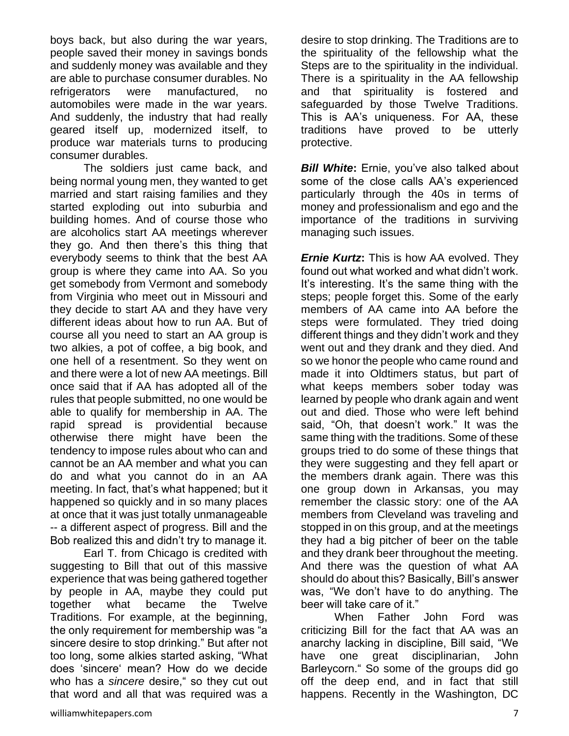boys back, but also during the war years, people saved their money in savings bonds and suddenly money was available and they are able to purchase consumer durables. No refrigerators were manufactured, no automobiles were made in the war years. And suddenly, the industry that had really geared itself up, modernized itself, to produce war materials turns to producing consumer durables.

The soldiers just came back, and being normal young men, they wanted to get married and start raising families and they started exploding out into suburbia and building homes. And of course those who are alcoholics start AA meetings wherever they go. And then there's this thing that everybody seems to think that the best AA group is where they came into AA. So you get somebody from Vermont and somebody from Virginia who meet out in Missouri and they decide to start AA and they have very different ideas about how to run AA. But of course all you need to start an AA group is two alkies, a pot of coffee, a big book, and one hell of a resentment. So they went on and there were a lot of new AA meetings. Bill once said that if AA has adopted all of the rules that people submitted, no one would be able to qualify for membership in AA. The rapid spread is providential because otherwise there might have been the tendency to impose rules about who can and cannot be an AA member and what you can do and what you cannot do in an AA meeting. In fact, that's what happened; but it happened so quickly and in so many places at once that it was just totally unmanageable -- a different aspect of progress. Bill and the Bob realized this and didn't try to manage it.

Earl T. from Chicago is credited with suggesting to Bill that out of this massive experience that was being gathered together by people in AA, maybe they could put together what became the Twelve Traditions. For example, at the beginning, the only requirement for membership was "a sincere desire to stop drinking." But after not too long, some alkies started asking, "What does 'sincere' mean? How do we decide who has a *sincere* desire," so they cut out that word and all that was required was a

desire to stop drinking. The Traditions are to the spirituality of the fellowship what the Steps are to the spirituality in the individual. There is a spirituality in the AA fellowship and that spirituality is fostered and safeguarded by those Twelve Traditions. This is AA's uniqueness. For AA, these traditions have proved to be utterly protective.

*Bill White***:** Ernie, you've also talked about some of the close calls AA's experienced particularly through the 40s in terms of money and professionalism and ego and the importance of the traditions in surviving managing such issues.

*Ernie Kurtz***:** This is how AA evolved. They found out what worked and what didn't work. It's interesting. It's the same thing with the steps; people forget this. Some of the early members of AA came into AA before the steps were formulated. They tried doing different things and they didn't work and they went out and they drank and they died. And so we honor the people who came round and made it into Oldtimers status, but part of what keeps members sober today was learned by people who drank again and went out and died. Those who were left behind said, "Oh, that doesn't work." It was the same thing with the traditions. Some of these groups tried to do some of these things that they were suggesting and they fell apart or the members drank again. There was this one group down in Arkansas, you may remember the classic story: one of the AA members from Cleveland was traveling and stopped in on this group, and at the meetings they had a big pitcher of beer on the table and they drank beer throughout the meeting. And there was the question of what AA should do about this? Basically, Bill's answer was, "We don't have to do anything. The beer will take care of it."

When Father John Ford was criticizing Bill for the fact that AA was an anarchy lacking in discipline, Bill said, "We have one great disciplinarian, John Barleycorn." So some of the groups did go off the deep end, and in fact that still happens. Recently in the Washington, DC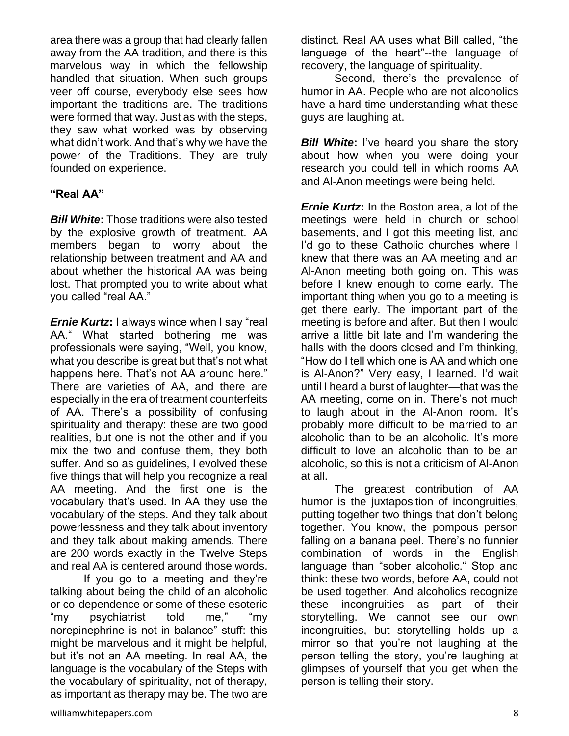area there was a group that had clearly fallen away from the AA tradition, and there is this marvelous way in which the fellowship handled that situation. When such groups veer off course, everybody else sees how important the traditions are. The traditions were formed that way. Just as with the steps, they saw what worked was by observing what didn't work. And that's why we have the power of the Traditions. They are truly founded on experience.

#### **"Real AA"**

*Bill White***:** Those traditions were also tested by the explosive growth of treatment. AA members began to worry about the relationship between treatment and AA and about whether the historical AA was being lost. That prompted you to write about what you called "real AA."

*Ernie Kurtz***:** I always wince when I say "real AA." What started bothering me was professionals were saying, "Well, you know, what you describe is great but that's not what happens here. That's not AA around here." There are varieties of AA, and there are especially in the era of treatment counterfeits of AA. There's a possibility of confusing spirituality and therapy: these are two good realities, but one is not the other and if you mix the two and confuse them, they both suffer. And so as guidelines, I evolved these five things that will help you recognize a real AA meeting. And the first one is the vocabulary that's used. In AA they use the vocabulary of the steps. And they talk about powerlessness and they talk about inventory and they talk about making amends. There are 200 words exactly in the Twelve Steps and real AA is centered around those words.

If you go to a meeting and they're talking about being the child of an alcoholic or co-dependence or some of these esoteric "my psychiatrist told me," "my norepinephrine is not in balance" stuff: this might be marvelous and it might be helpful, but it's not an AA meeting. In real AA, the language is the vocabulary of the Steps with the vocabulary of spirituality, not of therapy, as important as therapy may be. The two are

distinct. Real AA uses what Bill called, "the language of the heart"--the language of recovery, the language of spirituality.

Second, there's the prevalence of humor in AA. People who are not alcoholics have a hard time understanding what these guys are laughing at.

**Bill White:** I've heard you share the story about how when you were doing your research you could tell in which rooms AA and Al-Anon meetings were being held.

*Ernie Kurtz***:** In the Boston area, a lot of the meetings were held in church or school basements, and I got this meeting list, and I'd go to these Catholic churches where I knew that there was an AA meeting and an Al-Anon meeting both going on. This was before I knew enough to come early. The important thing when you go to a meeting is get there early. The important part of the meeting is before and after. But then I would arrive a little bit late and I'm wandering the halls with the doors closed and I'm thinking, "How do I tell which one is AA and which one is Al-Anon?" Very easy, I learned. I'd wait until I heard a burst of laughter—that was the AA meeting, come on in. There's not much to laugh about in the Al-Anon room. It's probably more difficult to be married to an alcoholic than to be an alcoholic. It's more difficult to love an alcoholic than to be an alcoholic, so this is not a criticism of Al-Anon at all.

The greatest contribution of AA humor is the juxtaposition of incongruities, putting together two things that don't belong together. You know, the pompous person falling on a banana peel. There's no funnier combination of words in the English language than "sober alcoholic." Stop and think: these two words, before AA, could not be used together. And alcoholics recognize these incongruities as part of their storytelling. We cannot see our own incongruities, but storytelling holds up a mirror so that you're not laughing at the person telling the story, you're laughing at glimpses of yourself that you get when the person is telling their story.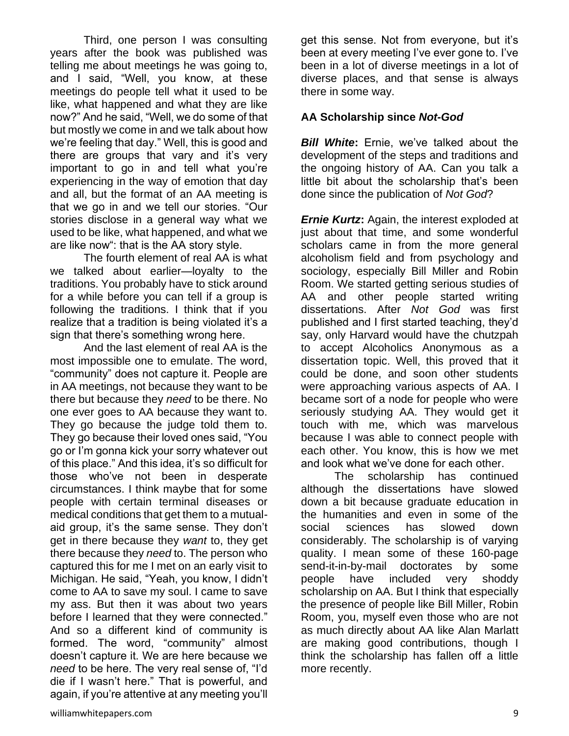Third, one person I was consulting years after the book was published was telling me about meetings he was going to, and I said, "Well, you know, at these meetings do people tell what it used to be like, what happened and what they are like now?" And he said, "Well, we do some of that but mostly we come in and we talk about how we're feeling that day." Well, this is good and there are groups that vary and it's very important to go in and tell what you're experiencing in the way of emotion that day and all, but the format of an AA meeting is that we go in and we tell our stories. "Our stories disclose in a general way what we used to be like, what happened, and what we are like now": that is the AA story style.

The fourth element of real AA is what we talked about earlier—loyalty to the traditions. You probably have to stick around for a while before you can tell if a group is following the traditions. I think that if you realize that a tradition is being violated it's a sign that there's something wrong here.

And the last element of real AA is the most impossible one to emulate. The word, "community" does not capture it. People are in AA meetings, not because they want to be there but because they *need* to be there. No one ever goes to AA because they want to. They go because the judge told them to. They go because their loved ones said, "You go or I'm gonna kick your sorry whatever out of this place." And this idea, it's so difficult for those who've not been in desperate circumstances. I think maybe that for some people with certain terminal diseases or medical conditions that get them to a mutualaid group, it's the same sense. They don't get in there because they *want* to, they get there because they *need* to. The person who captured this for me I met on an early visit to Michigan. He said, "Yeah, you know, I didn't come to AA to save my soul. I came to save my ass. But then it was about two years before I learned that they were connected." And so a different kind of community is formed. The word, "community" almost doesn't capture it. We are here because we *need* to be here. The very real sense of, "I'd die if I wasn't here." That is powerful, and again, if you're attentive at any meeting you'll

get this sense. Not from everyone, but it's been at every meeting I've ever gone to. I've been in a lot of diverse meetings in a lot of diverse places, and that sense is always there in some way.

#### **AA Scholarship since** *Not-God*

*Bill White***:** Ernie, we've talked about the development of the steps and traditions and the ongoing history of AA. Can you talk a little bit about the scholarship that's been done since the publication of *Not God*?

*Ernie Kurtz***:** Again, the interest exploded at just about that time, and some wonderful scholars came in from the more general alcoholism field and from psychology and sociology, especially Bill Miller and Robin Room. We started getting serious studies of AA and other people started writing dissertations. After *Not God* was first published and I first started teaching, they'd say, only Harvard would have the chutzpah to accept Alcoholics Anonymous as a dissertation topic. Well, this proved that it could be done, and soon other students were approaching various aspects of AA. I became sort of a node for people who were seriously studying AA. They would get it touch with me, which was marvelous because I was able to connect people with each other. You know, this is how we met and look what we've done for each other.

The scholarship has continued although the dissertations have slowed down a bit because graduate education in the humanities and even in some of the social sciences has slowed down considerably. The scholarship is of varying quality. I mean some of these 160-page send-it-in-by-mail doctorates by some people have included very shoddy scholarship on AA. But I think that especially the presence of people like Bill Miller, Robin Room, you, myself even those who are not as much directly about AA like Alan Marlatt are making good contributions, though I think the scholarship has fallen off a little more recently.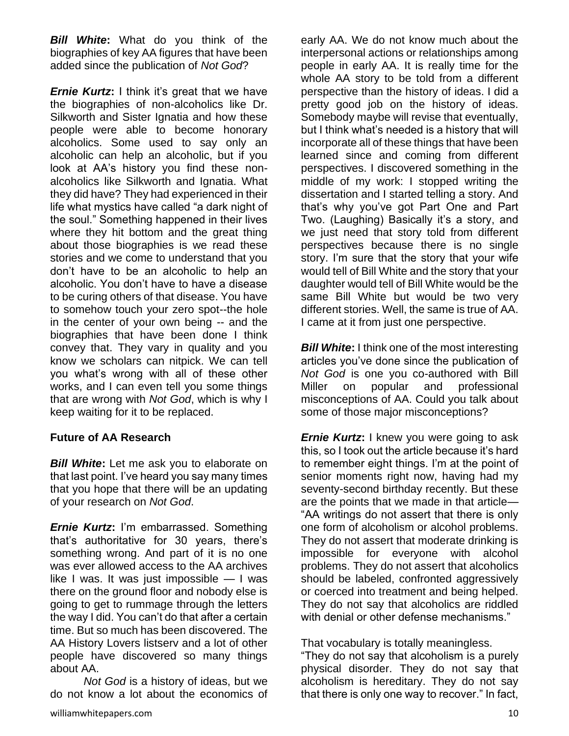*Bill White***:** What do you think of the biographies of key AA figures that have been added since the publication of *Not God*?

*Ernie Kurtz***:** I think it's great that we have the biographies of non-alcoholics like Dr. Silkworth and Sister Ignatia and how these people were able to become honorary alcoholics. Some used to say only an alcoholic can help an alcoholic, but if you look at AA's history you find these nonalcoholics like Silkworth and Ignatia. What they did have? They had experienced in their life what mystics have called "a dark night of the soul." Something happened in their lives where they hit bottom and the great thing about those biographies is we read these stories and we come to understand that you don't have to be an alcoholic to help an alcoholic. You don't have to have a disease to be curing others of that disease. You have to somehow touch your zero spot--the hole in the center of your own being -- and the biographies that have been done I think convey that. They vary in quality and you know we scholars can nitpick. We can tell you what's wrong with all of these other works, and I can even tell you some things that are wrong with *Not God*, which is why I keep waiting for it to be replaced.

#### **Future of AA Research**

*Bill White***:** Let me ask you to elaborate on that last point. I've heard you say many times that you hope that there will be an updating of your research on *Not God*.

*Ernie Kurtz***:** I'm embarrassed. Something that's authoritative for 30 years, there's something wrong. And part of it is no one was ever allowed access to the AA archives like I was. It was just impossible  $-1$  was there on the ground floor and nobody else is going to get to rummage through the letters the way I did. You can't do that after a certain time. But so much has been discovered. The AA History Lovers listserv and a lot of other people have discovered so many things about AA.

*Not God* is a history of ideas, but we do not know a lot about the economics of early AA. We do not know much about the interpersonal actions or relationships among people in early AA. It is really time for the whole AA story to be told from a different perspective than the history of ideas. I did a pretty good job on the history of ideas. Somebody maybe will revise that eventually, but I think what's needed is a history that will incorporate all of these things that have been learned since and coming from different perspectives. I discovered something in the middle of my work: I stopped writing the dissertation and I started telling a story. And that's why you've got Part One and Part Two. (Laughing) Basically it's a story, and we just need that story told from different perspectives because there is no single story. I'm sure that the story that your wife would tell of Bill White and the story that your daughter would tell of Bill White would be the same Bill White but would be two very different stories. Well, the same is true of AA. I came at it from just one perspective.

*Bill White*: I think one of the most interesting articles you've done since the publication of *Not God* is one you co-authored with Bill Miller on popular and professional misconceptions of AA. Could you talk about some of those major misconceptions?

*Ernie Kurtz***:** I knew you were going to ask this, so I took out the article because it's hard to remember eight things. I'm at the point of senior moments right now, having had my seventy-second birthday recently. But these are the points that we made in that article— "AA writings do not assert that there is only one form of alcoholism or alcohol problems. They do not assert that moderate drinking is impossible for everyone with alcohol problems. They do not assert that alcoholics should be labeled, confronted aggressively or coerced into treatment and being helped. They do not say that alcoholics are riddled with denial or other defense mechanisms."

#### That vocabulary is totally meaningless.

"They do not say that alcoholism is a purely physical disorder. They do not say that alcoholism is hereditary. They do not say that there is only one way to recover." In fact,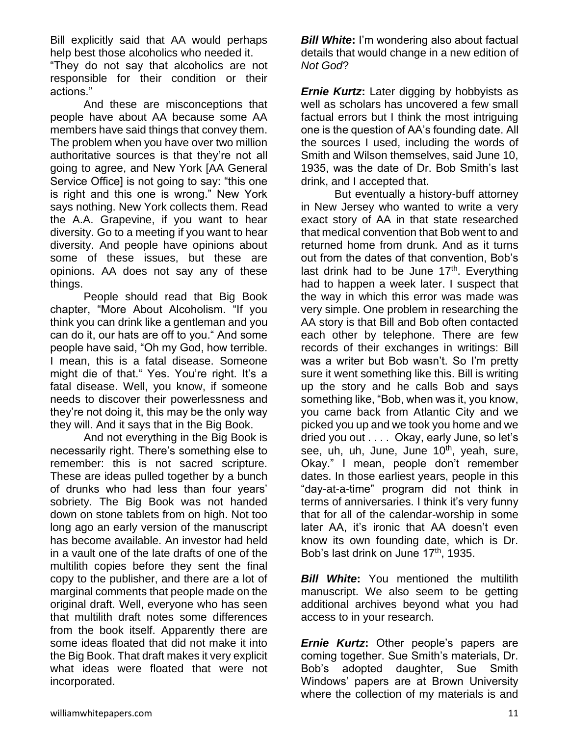Bill explicitly said that AA would perhaps help best those alcoholics who needed it.

"They do not say that alcoholics are not responsible for their condition or their actions."

And these are misconceptions that people have about AA because some AA members have said things that convey them. The problem when you have over two million authoritative sources is that they're not all going to agree, and New York [AA General Service Office] is not going to say: "this one is right and this one is wrong." New York says nothing. New York collects them. Read the A.A. Grapevine, if you want to hear diversity. Go to a meeting if you want to hear diversity. And people have opinions about some of these issues, but these are opinions. AA does not say any of these things.

People should read that Big Book chapter, "More About Alcoholism. "If you think you can drink like a gentleman and you can do it, our hats are off to you." And some people have said, "Oh my God, how terrible. I mean, this is a fatal disease. Someone might die of that." Yes. You're right. It's a fatal disease. Well, you know, if someone needs to discover their powerlessness and they're not doing it, this may be the only way they will. And it says that in the Big Book.

And not everything in the Big Book is necessarily right. There's something else to remember: this is not sacred scripture. These are ideas pulled together by a bunch of drunks who had less than four years' sobriety. The Big Book was not handed down on stone tablets from on high. Not too long ago an early version of the manuscript has become available. An investor had held in a vault one of the late drafts of one of the multilith copies before they sent the final copy to the publisher, and there are a lot of marginal comments that people made on the original draft. Well, everyone who has seen that multilith draft notes some differences from the book itself. Apparently there are some ideas floated that did not make it into the Big Book. That draft makes it very explicit what ideas were floated that were not incorporated.

*Bill White***:** I'm wondering also about factual details that would change in a new edition of *Not God*?

*Ernie Kurtz***:** Later digging by hobbyists as well as scholars has uncovered a few small factual errors but I think the most intriguing one is the question of AA's founding date. All the sources I used, including the words of Smith and Wilson themselves, said June 10, 1935, was the date of Dr. Bob Smith's last drink, and I accepted that.

But eventually a history-buff attorney in New Jersey who wanted to write a very exact story of AA in that state researched that medical convention that Bob went to and returned home from drunk. And as it turns out from the dates of that convention, Bob's last drink had to be June 17<sup>th</sup>. Everything had to happen a week later. I suspect that the way in which this error was made was very simple. One problem in researching the AA story is that Bill and Bob often contacted each other by telephone. There are few records of their exchanges in writings: Bill was a writer but Bob wasn't. So I'm pretty sure it went something like this. Bill is writing up the story and he calls Bob and says something like, "Bob, when was it, you know, you came back from Atlantic City and we picked you up and we took you home and we dried you out . . . . Okay, early June, so let's see, uh, uh, June, June  $10<sup>th</sup>$ , yeah, sure, Okay." I mean, people don't remember dates. In those earliest years, people in this "day-at-a-time" program did not think in terms of anniversaries. I think it's very funny that for all of the calendar-worship in some later AA, it's ironic that AA doesn't even know its own founding date, which is Dr. Bob's last drink on June 17<sup>th</sup>, 1935.

**Bill White:** You mentioned the multilith manuscript. We also seem to be getting additional archives beyond what you had access to in your research.

*Ernie Kurtz***:** Other people's papers are coming together. Sue Smith's materials, Dr. Bob's adopted daughter, Sue Smith Windows' papers are at Brown University where the collection of my materials is and